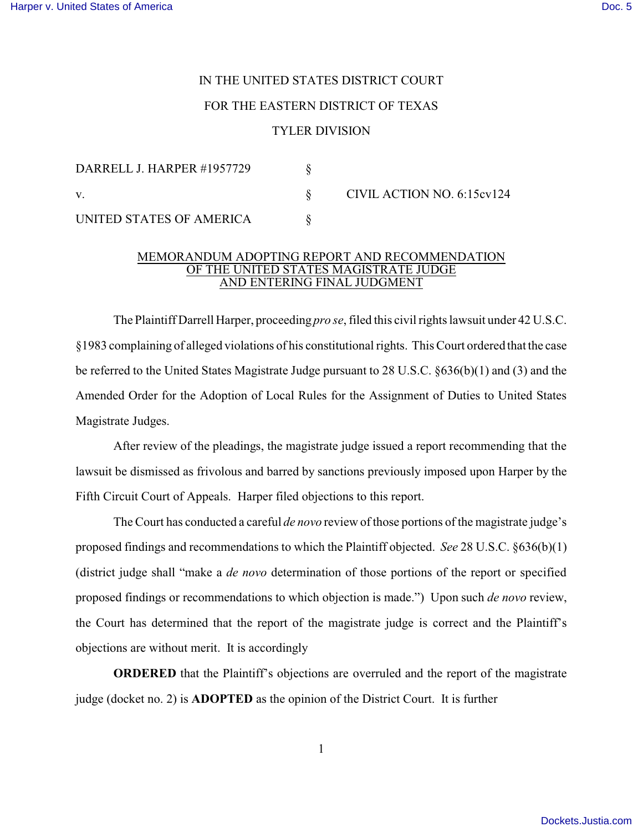## IN THE UNITED STATES DISTRICT COURT FOR THE EASTERN DISTRICT OF TEXAS TYLER DIVISION

| DARRELL J. HARPER #1957729 |                            |
|----------------------------|----------------------------|
|                            | CIVIL ACTION NO. 6:15cv124 |
| UNITED STATES OF AMERICA   |                            |

## MEMORANDUM ADOPTING REPORT AND RECOMMENDATION OF THE UNITED STATES MAGISTRATE JUDGE AND ENTERING FINAL JUDGMENT

The Plaintiff Darrell Harper, proceeding *pro se*, filed this civil rights lawsuit under 42 U.S.C. §1983 complaining of alleged violations of his constitutional rights. This Court ordered that the case be referred to the United States Magistrate Judge pursuant to 28 U.S.C. §636(b)(1) and (3) and the Amended Order for the Adoption of Local Rules for the Assignment of Duties to United States Magistrate Judges.

 After review of the pleadings, the magistrate judge issued a report recommending that the lawsuit be dismissed as frivolous and barred by sanctions previously imposed upon Harper by the Fifth Circuit Court of Appeals. Harper filed objections to this report.

The Court has conducted a careful *de novo* review of those portions of the magistrate judge's proposed findings and recommendations to which the Plaintiff objected. *See* 28 U.S.C. §636(b)(1) (district judge shall "make a *de novo* determination of those portions of the report or specified proposed findings or recommendations to which objection is made.") Upon such *de novo* review, the Court has determined that the report of the magistrate judge is correct and the Plaintiff's objections are without merit. It is accordingly

**ORDERED** that the Plaintiff's objections are overruled and the report of the magistrate judge (docket no. 2) is **ADOPTED** as the opinion of the District Court. It is further